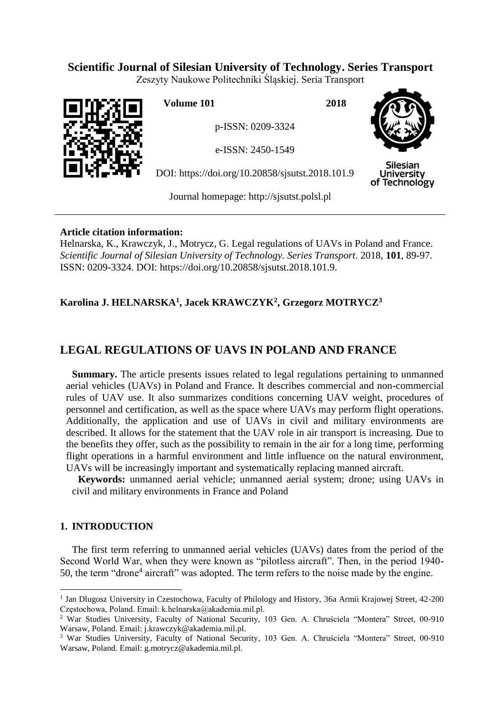### **Scientific Journal of Silesian University of Technology. Series Transport**

Zeszyty Naukowe Politechniki Śląskiej. Seria Transport



**Volume 101 2018**

p-ISSN: 0209-3324

e-ISSN: 2450-1549

DOI: https://doi.org/10.20858/sjsutst.2018.101.9



**Silesian University** of Technology

Journal homepage: [http://sjsutst.polsl.pl](http://sjsutst.polsl.pl/)

### **Article citation information:**

Helnarska, K., Krawczyk, J., Motrycz, G. Legal regulations of UAVs in Poland and France. *Scientific Journal of Silesian University of Technology. Series Transport*. 2018, **101**, 89-97. ISSN: 0209-3324. DOI: https://doi.org/10.20858/sjsutst.2018.101.9.

## **Karolina J. HELNARSKA<sup>1</sup> , Jacek KRAWCZYK<sup>2</sup> , Grzegorz MOTRYCZ<sup>3</sup>**

# **LEGAL REGULATIONS OF UAVS IN POLAND AND FRANCE**

**Summary.** The article presents issues related to legal regulations pertaining to unmanned aerial vehicles (UAVs) in Poland and France. It describes commercial and non-commercial rules of UAV use. It also summarizes conditions concerning UAV weight, procedures of personnel and certification, as well as the space where UAVs may perform flight operations. Additionally, the application and use of UAVs in civil and military environments are described. It allows for the statement that the UAV role in air transport is increasing. Due to the benefits they offer, such as the possibility to remain in the air for a long time, performing flight operations in a harmful environment and little influence on the natural environment, UAVs will be increasingly important and systematically replacing manned aircraft.

**Keywords:** unmanned aerial vehicle; unmanned aerial system; drone; using UAVs in civil and military environments in France and Poland

### **1. INTRODUCTION**

 $\overline{a}$ 

The first term referring to unmanned aerial vehicles (UAVs) dates from the period of the Second World War, when they were known as "pilotless aircraft". Then, in the period 1940- 50, the term "drone<sup>4</sup> aircraft" was adopted. The term refers to the noise made by the engine.

<sup>&</sup>lt;sup>1</sup> Jan Dlugosz University in Czestochowa, Faculty of Philology and History, 36a Armii Krajowej Street, 42-200 Częstochowa, Poland. Email: k.helnarska@akademia.mil.pl.

<sup>2</sup> War Studies University, Faculty of National Security, 103 Gen. A. Chruściela "Montera" Street, 00-910 Warsaw, Poland. Email: j.krawczyk@akademia.mil.pl.

<sup>3</sup> War Studies University, Faculty of National Security, 103 Gen. A. Chruściela "Montera" Street, 00-910 Warsaw, Poland. Email: g.motrycz@akademia.mil.pl.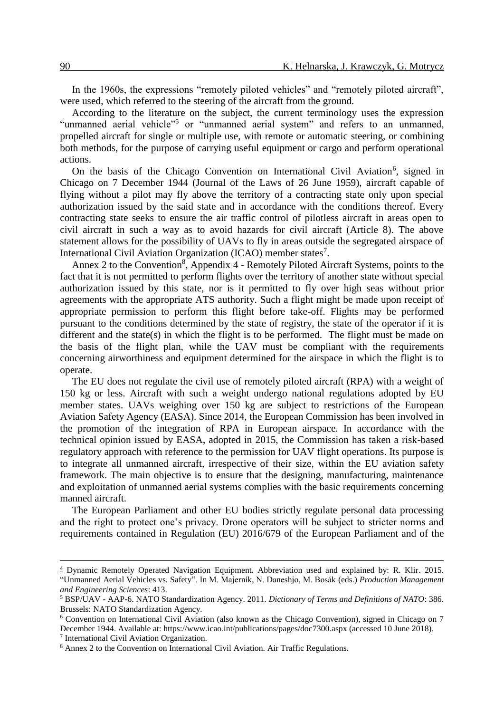In the 1960s, the expressions "remotely piloted vehicles" and "remotely piloted aircraft", were used, which referred to the steering of the aircraft from the ground.

According to the literature on the subject, the current terminology uses the expression "unmanned aerial vehicle"<sup>5</sup> or "unmanned aerial system" and refers to an unmanned, propelled aircraft for single or multiple use, with remote or automatic steering, or combining both methods, for the purpose of carrying useful equipment or cargo and perform operational actions.

On the basis of the Chicago Convention on International Civil Aviation<sup>6</sup>, signed in Chicago on 7 December 1944 (Journal of the Laws of 26 June 1959), aircraft capable of flying without a pilot may fly above the territory of a contracting state only upon special authorization issued by the said state and in accordance with the conditions thereof. Every contracting state seeks to ensure the air traffic control of pilotless aircraft in areas open to civil aircraft in such a way as to avoid hazards for civil aircraft (Article 8). The above statement allows for the possibility of UAVs to fly in areas outside the segregated airspace of International Civil Aviation Organization (ICAO) member states<sup>7</sup>.

Annex 2 to the Convention<sup>8</sup>, Appendix 4 - Remotely Piloted Aircraft Systems, points to the fact that it is not permitted to perform flights over the territory of another state without special authorization issued by this state, nor is it permitted to fly over high seas without prior agreements with the appropriate ATS authority. Such a flight might be made upon receipt of appropriate permission to perform this flight before take-off. Flights may be performed pursuant to the conditions determined by the state of registry, the state of the operator if it is different and the state(s) in which the flight is to be performed. The flight must be made on the basis of the flight plan, while the UAV must be compliant with the requirements concerning airworthiness and equipment determined for the airspace in which the flight is to operate.

The EU does not regulate the civil use of remotely piloted aircraft (RPA) with a weight of 150 kg or less. Aircraft with such a weight undergo national regulations adopted by EU member states. UAVs weighing over 150 kg are subject to restrictions of the European Aviation Safety Agency (EASA). Since 2014, the European Commission has been involved in the promotion of the integration of RPA in European airspace. In accordance with the technical opinion issued by EASA, adopted in 2015, the Commission has taken a risk-based regulatory approach with reference to the permission for UAV flight operations. Its purpose is to integrate all unmanned aircraft, irrespective of their size, within the EU aviation safety framework. The main objective is to ensure that the designing, manufacturing, maintenance and exploitation of unmanned aerial systems complies with the basic requirements concerning manned aircraft.

The European Parliament and other EU bodies strictly regulate personal data processing and the right to protect one's privacy. Drone operators will be subject to stricter norms and requirements contained in Regulation (EU) 2016/679 of the European Parliament and of the

 $\overline{a}$ 

<sup>4</sup> Dynamic Remotely Operated Navigation Equipment. Abbreviation used and explained by: R. Klir. 2015. "Unmanned Aerial Vehicles vs. Safety". In M. Majerník, N. Daneshjo, M. Bosák (eds.) *Production Management and Engineering Sciences*: 413.

<sup>5</sup> BSP/UAV - AAP-6. NATO Standardization Agency. 2011. *Dictionary of Terms and Definitions of NATO*: 386. Brussels: NATO Standardization Agency.

<sup>6</sup> Convention on International Civil Aviation (also known as the Chicago Convention), signed in Chicago on 7 December 1944. Available at: https://www.icao.int/publications/pages/doc7300.aspx (accessed 10 June 2018). 7 International Civil Aviation Organization.

<sup>8</sup> Annex 2 to the Convention on International Civil Aviation. Air Traffic Regulations.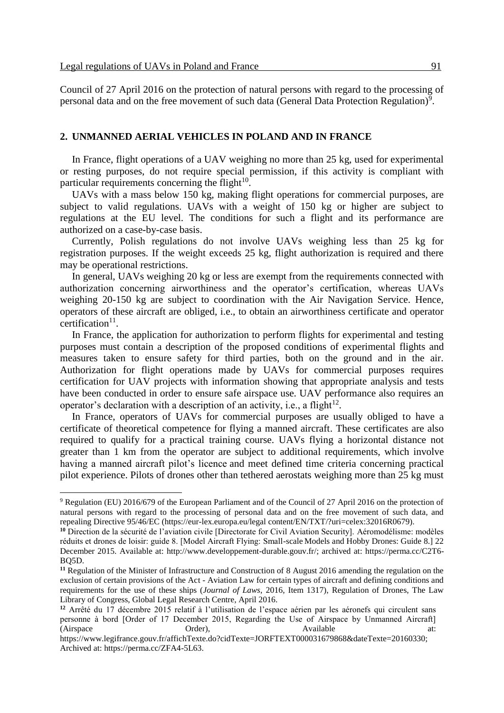$\overline{a}$ 

Council of 27 April 2016 on the protection of natural persons with regard to the processing of personal data and on the free movement of such data (General Data Protection Regulation)<sup>9</sup>.

#### **2. UNMANNED AERIAL VEHICLES IN POLAND AND IN FRANCE**

In France, flight operations of a UAV weighing no more than 25 kg, used for experimental or resting purposes, do not require special permission, if this activity is compliant with particular requirements concerning the flight $10$ .

UAVs with a mass below 150 kg, making flight operations for commercial purposes, are subject to valid regulations. UAVs with a weight of 150 kg or higher are subject to regulations at the EU level. The conditions for such a flight and its performance are authorized on a case-by-case basis.

Currently, Polish regulations do not involve UAVs weighing less than 25 kg for registration purposes. If the weight exceeds 25 kg, flight authorization is required and there may be operational restrictions.

In general, UAVs weighing 20 kg or less are exempt from the requirements connected with authorization concerning airworthiness and the operator's certification, whereas UAVs weighing 20-150 kg are subject to coordination with the Air Navigation Service. Hence, operators of these aircraft are obliged, i.e., to obtain an airworthiness certificate and operator certification $11$ .

In France, the application for authorization to perform flights for experimental and testing purposes must contain a description of the proposed conditions of experimental flights and measures taken to ensure safety for third parties, both on the ground and in the air. Authorization for flight operations made by UAVs for commercial purposes requires certification for UAV projects with information showing that appropriate analysis and tests have been conducted in order to ensure safe airspace use. UAV performance also requires an operator's declaration with a description of an activity, i.e., a flight<sup>12</sup>.

In France, operators of UAVs for commercial purposes are usually obliged to have a certificate of theoretical competence for flying a manned aircraft. These certificates are also required to qualify for a practical training course. UAVs flying a horizontal distance not greater than 1 km from the operator are subject to additional requirements, which involve having a manned aircraft pilot's licence and meet defined time criteria concerning practical pilot experience. Pilots of drones other than tethered aerostats weighing more than 25 kg must

<sup>9</sup> Regulation (EU) 2016/679 of the European Parliament and of the Council of 27 April 2016 on the protection of natural persons with regard to the processing of personal data and on the free movement of such data, and repealing Directive 95/46/EC (https://eur-lex.europa.eu/legal content/EN/TXT/?uri=celex:32016R0679).

**<sup>10</sup>** Direction de la sécurité de l'aviation civile [Directorate for Civil Aviation Security]. Aéromodélisme: modèles réduits et drones de loisir: guide 8. [Model Aircraft Flying: Small-scale Models and Hobby Drones: Guide 8.] 22 December 2015. Available at: http://www.developpement-durable.gouv.fr[/;](http://www.developpement-durable.gouv.fr/IMG/pdf/Guide_Aeromodlisme_v1-0.pdf) archived at: https://perma.cc/C2T6- BQ5D.

**<sup>11</sup>** Regulation of the Minister of Infrastructure and Construction of 8 August 2016 amending the regulation on the exclusion of certain provisions of the Act - Aviation Law for certain types of aircraft and defining conditions and requirements for the use of these ships (*Journal of Laws*, 2016, Item 1317), Regulation of Drones, The Law Library of Congress, Global Legal Research Centre, April 2016.

**<sup>12</sup>** Arrêté du 17 décembre 2015 relatif à l'utilisation de l'espace aérien par les aéronefs qui circulent sans personne à bord [Order of 17 December 2015, Regarding the Use of Airspace by Unmanned Aircraft] (Airspace Order), Available at:

https://www.legifrance.gouv.fr/affichTexte.do?cidTexte=JORFTEXT000031679868&dateTexte=20160330; Archived at: https://perma.cc/ZFA4-5L63.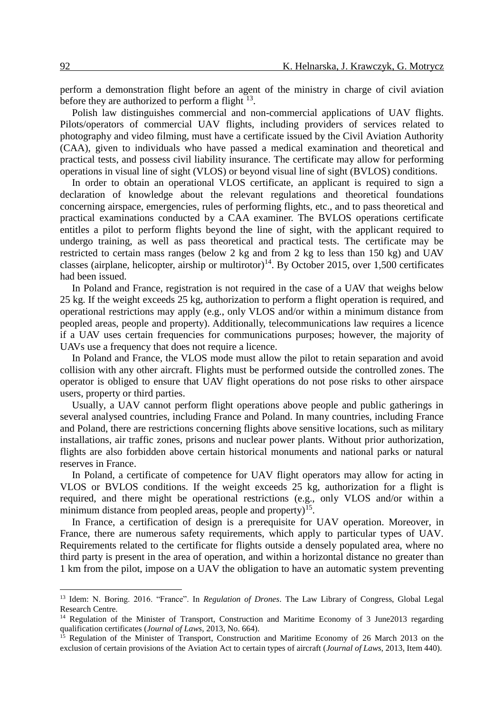perform a demonstration flight before an agent of the ministry in charge of civil aviation before they are authorized to perform a flight  $13$ .

Polish law distinguishes commercial and non-commercial applications of UAV flights. Pilots/operators of commercial UAV flights, including providers of services related to photography and video filming, must have a certificate issued by the Civil Aviation Authority (CAA), given to individuals who have passed a medical examination and theoretical and practical tests, and possess civil liability insurance. The certificate may allow for performing operations in visual line of sight (VLOS) or beyond visual line of sight (BVLOS) conditions.

In order to obtain an operational VLOS certificate, an applicant is required to sign a declaration of knowledge about the relevant regulations and theoretical foundations concerning airspace, emergencies, rules of performing flights, etc., and to pass theoretical and practical examinations conducted by a CAA examiner. The BVLOS operations certificate entitles a pilot to perform flights beyond the line of sight, with the applicant required to undergo training, as well as pass theoretical and practical tests. The certificate may be restricted to certain mass ranges (below 2 kg and from 2 kg to less than 150 kg) and UAV classes (airplane, helicopter, airship or multirotor)<sup>14</sup>. By October 2015, over 1,500 certificates had been issued.

In Poland and France, registration is not required in the case of a UAV that weighs below 25 kg. If the weight exceeds 25 kg, authorization to perform a flight operation is required, and operational restrictions may apply (e.g., only VLOS and/or within a minimum distance from peopled areas, people and property). Additionally, telecommunications law requires a licence if a UAV uses certain frequencies for communications purposes; however, the majority of UAVs use a frequency that does not require a licence.

In Poland and France, the VLOS mode must allow the pilot to retain separation and avoid collision with any other aircraft. Flights must be performed outside the controlled zones. The operator is obliged to ensure that UAV flight operations do not pose risks to other airspace users, property or third parties.

Usually, a UAV cannot perform flight operations above people and public gatherings in several analysed countries, including France and Poland. In many countries, including France and Poland, there are restrictions concerning flights above sensitive locations, such as military installations, air traffic zones, prisons and nuclear power plants. Without prior authorization, flights are also forbidden above certain historical monuments and national parks or natural reserves in France.

In Poland, a certificate of competence for UAV flight operators may allow for acting in VLOS or BVLOS conditions. If the weight exceeds 25 kg, authorization for a flight is required, and there might be operational restrictions (e.g., only VLOS and/or within a minimum distance from peopled areas, people and property)<sup>15</sup>.

In France, a certification of design is a prerequisite for UAV operation. Moreover, in France, there are numerous safety requirements, which apply to particular types of UAV. Requirements related to the certificate for flights outside a densely populated area, where no third party is present in the area of operation, and within a horizontal distance no greater than 1 km from the pilot, impose on a UAV the obligation to have an automatic system preventing

 $\overline{a}$ 

<sup>13</sup> Idem: N. Boring. 2016. "France". In *Regulation of Drones*. The Law Library of Congress, Global Legal Research Centre.

<sup>&</sup>lt;sup>14</sup> Regulation of the Minister of Transport, Construction and Maritime Economy of 3 June2013 regarding qualification certificates (*Journal of Laws*, 2013, No. 664).

Regulation of the Minister of Transport, Construction and Maritime Economy of 26 March 2013 on the exclusion of certain provisions of the Aviation Act to certain types of aircraft (*Journal of Laws*, 2013, Item 440).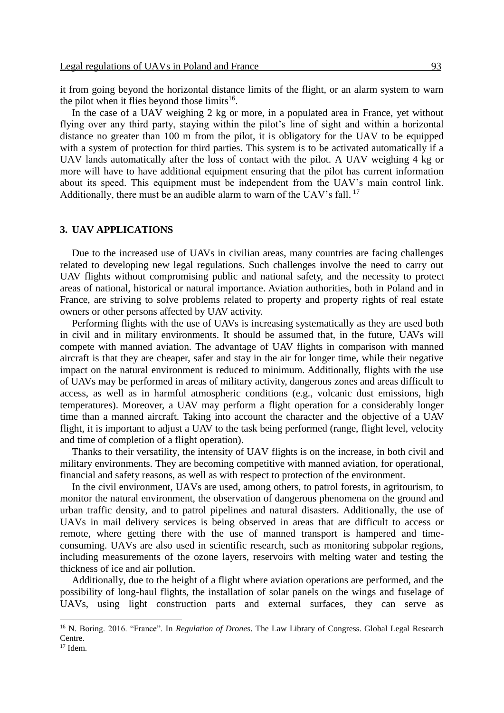it from going beyond the horizontal distance limits of the flight, or an alarm system to warn the pilot when it flies beyond those  $limits^{16}$ .

In the case of a UAV weighing 2 kg or more, in a populated area in France, yet without flying over any third party, staying within the pilot's line of sight and within a horizontal distance no greater than 100 m from the pilot, it is obligatory for the UAV to be equipped with a system of protection for third parties. This system is to be activated automatically if a UAV lands automatically after the loss of contact with the pilot. A UAV weighing 4 kg or more will have to have additional equipment ensuring that the pilot has current information about its speed. This equipment must be independent from the UAV's main control link. Additionally, there must be an audible alarm to warn of the UAV's fall.<sup>17</sup>

#### **3. UAV APPLICATIONS**

Due to the increased use of UAVs in civilian areas, many countries are facing challenges related to developing new legal regulations. Such challenges involve the need to carry out UAV flights without compromising public and national safety, and the necessity to protect areas of national, historical or natural importance. Aviation authorities, both in Poland and in France, are striving to solve problems related to property and property rights of real estate owners or other persons affected by UAV activity.

Performing flights with the use of UAVs is increasing systematically as they are used both in civil and in military environments. It should be assumed that, in the future, UAVs will compete with manned aviation. The advantage of UAV flights in comparison with manned aircraft is that they are cheaper, safer and stay in the air for longer time, while their negative impact on the natural environment is reduced to minimum. Additionally, flights with the use of UAVs may be performed in areas of military activity, dangerous zones and areas difficult to access, as well as in harmful atmospheric conditions (e.g., volcanic dust emissions, high temperatures). Moreover, a UAV may perform a flight operation for a considerably longer time than a manned aircraft. Taking into account the character and the objective of a UAV flight, it is important to adjust a UAV to the task being performed (range, flight level, velocity and time of completion of a flight operation).

Thanks to their versatility, the intensity of UAV flights is on the increase, in both civil and military environments. They are becoming competitive with manned aviation, for operational, financial and safety reasons, as well as with respect to protection of the environment.

In the civil environment, UAVs are used, among others, to patrol forests, in agritourism, to monitor the natural environment, the observation of dangerous phenomena on the ground and urban traffic density, and to patrol pipelines and natural disasters. Additionally, the use of UAVs in mail delivery services is being observed in areas that are difficult to access or remote, where getting there with the use of manned transport is hampered and timeconsuming. UAVs are also used in scientific research, such as monitoring subpolar regions, including measurements of the ozone layers, reservoirs with melting water and testing the thickness of ice and air pollution.

Additionally, due to the height of a flight where aviation operations are performed, and the possibility of long-haul flights, the installation of solar panels on the wings and fuselage of UAVs, using light construction parts and external surfaces, they can serve as

 $\overline{a}$ 

<sup>16</sup> N. Boring. 2016. "France". In *Regulation of Drones*. The Law Library of Congress. Global Legal Research Centre.

 $17$  Idem.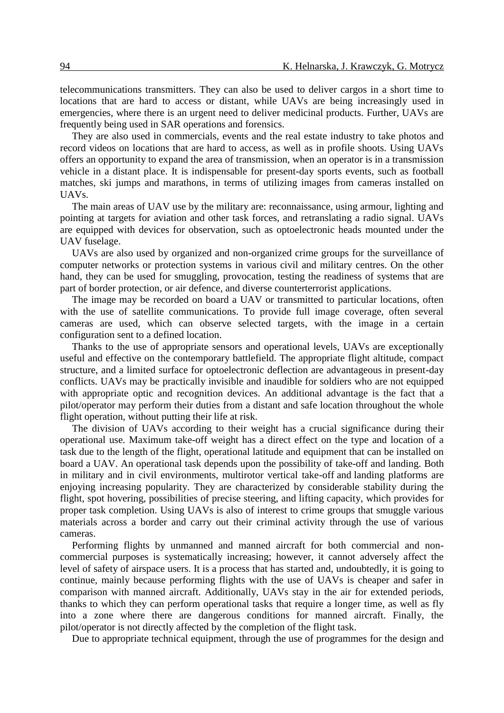telecommunications transmitters. They can also be used to deliver cargos in a short time to locations that are hard to access or distant, while UAVs are being increasingly used in emergencies, where there is an urgent need to deliver medicinal products. Further, UAVs are frequently being used in SAR operations and forensics.

They are also used in commercials, events and the real estate industry to take photos and record videos on locations that are hard to access, as well as in profile shoots. Using UAVs offers an opportunity to expand the area of transmission, when an operator is in a transmission vehicle in a distant place. It is indispensable for present-day sports events, such as football matches, ski jumps and marathons, in terms of utilizing images from cameras installed on UAVs.

The main areas of UAV use by the military are: reconnaissance, using armour, lighting and pointing at targets for aviation and other task forces, and retranslating a radio signal. UAVs are equipped with devices for observation, such as optoelectronic heads mounted under the UAV fuselage.

UAVs are also used by organized and non-organized crime groups for the surveillance of computer networks or protection systems in various civil and military centres. On the other hand, they can be used for smuggling, provocation, testing the readiness of systems that are part of border protection, or air defence, and diverse counterterrorist applications.

The image may be recorded on board a UAV or transmitted to particular locations, often with the use of satellite communications. To provide full image coverage, often several cameras are used, which can observe selected targets, with the image in a certain configuration sent to a defined location.

Thanks to the use of appropriate sensors and operational levels, UAVs are exceptionally useful and effective on the contemporary battlefield. The appropriate flight altitude, compact structure, and a limited surface for optoelectronic deflection are advantageous in present-day conflicts. UAVs may be practically invisible and inaudible for soldiers who are not equipped with appropriate optic and recognition devices. An additional advantage is the fact that a pilot/operator may perform their duties from a distant and safe location throughout the whole flight operation, without putting their life at risk.

The division of UAVs according to their weight has a crucial significance during their operational use. Maximum take-off weight has a direct effect on the type and location of a task due to the length of the flight, operational latitude and equipment that can be installed on board a UAV. An operational task depends upon the possibility of take-off and landing. Both in military and in civil environments, multirotor vertical take-off and landing platforms are enjoying increasing popularity. They are characterized by considerable stability during the flight, spot hovering, possibilities of precise steering, and lifting capacity, which provides for proper task completion. Using UAVs is also of interest to crime groups that smuggle various materials across a border and carry out their criminal activity through the use of various cameras.

Performing flights by unmanned and manned aircraft for both commercial and noncommercial purposes is systematically increasing; however, it cannot adversely affect the level of safety of airspace users. It is a process that has started and, undoubtedly, it is going to continue, mainly because performing flights with the use of UAVs is cheaper and safer in comparison with manned aircraft. Additionally, UAVs stay in the air for extended periods, thanks to which they can perform operational tasks that require a longer time, as well as fly into a zone where there are dangerous conditions for manned aircraft. Finally, the pilot/operator is not directly affected by the completion of the flight task.

Due to appropriate technical equipment, through the use of programmes for the design and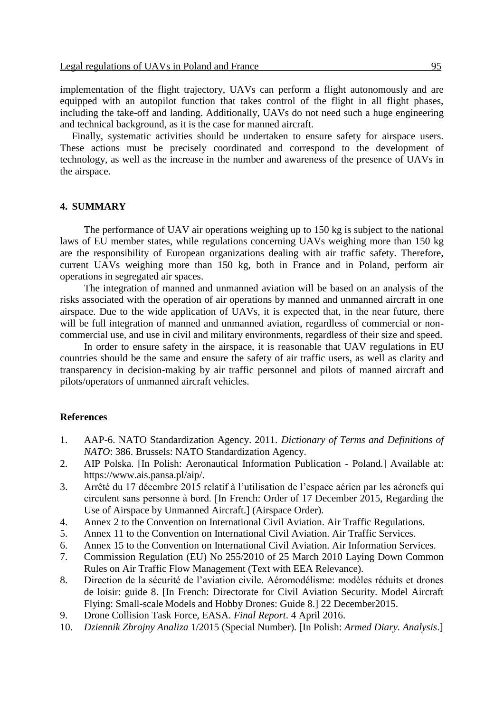implementation of the flight trajectory, UAVs can perform a flight autonomously and are equipped with an autopilot function that takes control of the flight in all flight phases, including the take-off and landing. Additionally, UAVs do not need such a huge engineering and technical background, as it is the case for manned aircraft.

Finally, systematic activities should be undertaken to ensure safety for airspace users. These actions must be precisely coordinated and correspond to the development of technology, as well as the increase in the number and awareness of the presence of UAVs in the airspace.

#### **4. SUMMARY**

The performance of UAV air operations weighing up to 150 kg is subject to the national laws of EU member states, while regulations concerning UAVs weighing more than 150 kg are the responsibility of European organizations dealing with air traffic safety. Therefore, current UAVs weighing more than 150 kg, both in France and in Poland, perform air operations in segregated air spaces.

The integration of manned and unmanned aviation will be based on an analysis of the risks associated with the operation of air operations by manned and unmanned aircraft in one airspace. Due to the wide application of UAVs, it is expected that, in the near future, there will be full integration of manned and unmanned aviation, regardless of commercial or noncommercial use, and use in civil and military environments, regardless of their size and speed.

In order to ensure safety in the airspace, it is reasonable that UAV regulations in EU countries should be the same and ensure the safety of air traffic users, as well as clarity and transparency in decision-making by air traffic personnel and pilots of manned aircraft and pilots/operators of unmanned aircraft vehicles.

#### **References**

- 1. AAP-6. NATO Standardization Agency. 2011. *Dictionary of Terms and Definitions of NATO*: 386. Brussels: NATO Standardization Agency.
- 2. AIP Polska. [In Polish: Aeronautical Information Publication Poland.] Available at: https://www.ais.pansa.pl/aip/.
- 3. Arrêté du 17 décembre 2015 relatif à l'utilisation de l'espace aérien par les aéronefs qui circulent sans personne à bord. [In French: Order of 17 December 2015, Regarding the Use of Airspace by Unmanned Aircraft.] (Airspace Order).
- 4. Annex 2 to the Convention on International Civil Aviation. Air Traffic Regulations.
- 5. Annex 11 to the Convention on International Civil Aviation. Air Traffic Services.
- 6. Annex 15 to the Convention on International Civil Aviation. Air Information Services.
- 7. Commission Regulation (EU) No 255/2010 of 25 March 2010 Laying Down Common Rules on Air Traffic Flow Management (Text with EEA Relevance).
- 8. Direction de la sécurité de l'aviation civile. Aéromodélisme: modèles réduits et drones de loisir: guide 8. [In French: Directorate for Civil Aviation Security. Model Aircraft Flying: Small-scale Models and Hobby Drones: Guide 8.] 22 December2015.
- 9. Drone Collision Task Force, EASA. *Final Report*. 4 April 2016.
- 10. *Dziennik Zbrojny Analiza* 1/2015 (Special Number). [In Polish: *Armed Diary. Analysis*.]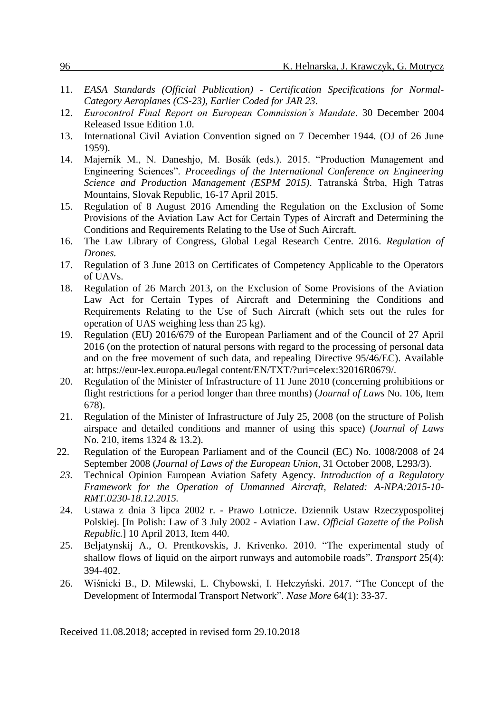- 11. *EASA Standards (Official Publication) - Certification Specifications for Normal-Category Aeroplanes (CS-23), Earlier Coded for JAR 23*.
- 12. *Eurocontrol Final Report on European Commission's Mandate*. 30 December 2004 Released Issue Edition 1.0.
- 13. International Civil Aviation Convention signed on 7 December 1944. (OJ of 26 June 1959).
- 14. Majerník M., N. Daneshjo, M. Bosák (eds.). 2015. "Production Management and Engineering Sciences". *Proceedings of the International Conference on Engineering Science and Production Management (ESPM 2015)*. Tatranská Štrba, High Tatras Mountains, Slovak Republic, 16-17 April 2015.
- 15. Regulation of 8 August 2016 Amending the Regulation on the Exclusion of Some Provisions of the Aviation Law Act for Certain Types of Aircraft and Determining the Conditions and Requirements Relating to the Use of Such Aircraft.
- 16. The Law Library of Congress, Global Legal Research Centre. 2016. *Regulation of Drones.*
- 17. Regulation of 3 June 2013 on Certificates of Competency Applicable to the Operators of UAVs.
- 18. Regulation of 26 March 2013, on the Exclusion of Some Provisions of the Aviation Law Act for Certain Types of Aircraft and Determining the Conditions and Requirements Relating to the Use of Such Aircraft (which sets out the rules for operation of UAS weighing less than 25 kg).
- 19. Regulation (EU) 2016/679 of the European Parliament and of the Council of 27 April 2016 (on the protection of natural persons with regard to the processing of personal data and on the free movement of such data, and repealing Directive 95/46/EC). Available at: https://eur-lex.europa.eu/legal content/EN/TXT/?uri=celex:32016R0679/.
- 20. Regulation of the Minister of Infrastructure of 11 June 2010 (concerning prohibitions or flight restrictions for a period longer than three months) (*Journal of Laws* No. 106, Item 678).
- 21. Regulation of the Minister of Infrastructure of July 25, 2008 (on the structure of Polish airspace and detailed conditions and manner of using this space) (*Journal of Laws*  No. 210, items 1324 & 13.2).
- 22. Regulation of the European Parliament and of the Council (EC) No. 1008/2008 of 24 September 2008 (*Journal of Laws of the European Union*, 31 October 2008, L293/3).
- *23.* Technical Opinion European Aviation Safety Agency. *Introduction of a Regulatory Framework for the Operation of Unmanned Aircraft, Related: A-NPA:2015-10- RMT.0230-18.12.2015.*
- 24. Ustawa z dnia 3 lipca 2002 r. Prawo Lotnicze. Dziennik Ustaw Rzeczypospolitej Polskiej. [In Polish: Law of 3 July 2002 - Aviation Law. *Official Gazette of the Polish Republi*c.] 10 April 2013, Item 440.
- 25. Beljatynskij A., O. Prentkovskis, J. Krivenko. 2010. "The experimental study of shallow flows of liquid on the airport runways and automobile roads". *Transport* 25(4): 394-402.
- 26. Wiśnicki B., D. Milewski, L. Chybowski, I. Hełczyński. 2017. "The Concept of the Development of Intermodal Transport Network". *Nase More* 64(1): 33-37.

Received 11.08.2018; accepted in revised form 29.10.2018